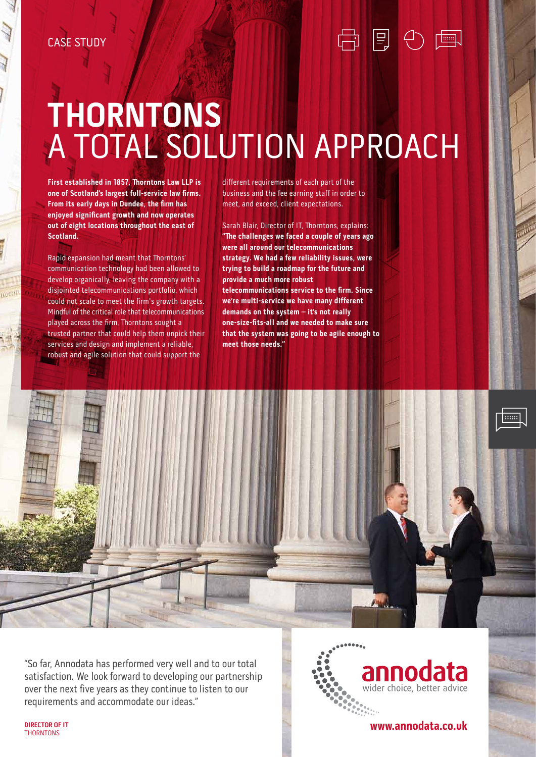## **THORNTONS** A TOTAL SOLUTION APPROACH

**First established in 1857, Thorntons Law LLP is one of Scotland's largest full-service law firms. From its early days in Dundee, the firm has enjoyed significant growth and now operates out of eight locations throughout the east of Scotland.**

Rapid expansion had meant that Thorntons' communication technology had been allowed to develop organically, leaving the company with a disjointed telecommunications portfolio, which could not scale to meet the firm's growth targets. Mindful of the critical role that telecommunications played across the firm, Thorntons sought a trusted partner that could help them unpick their services and design and implement a reliable, robust and agile solution that could support the

different requirements of each part of the business and the fee earning staff in order to meet, and exceed, client expectations.

日目の画

Sarah Blair, Director of IT, Thorntons, explains: **"The challenges we faced a couple of years ago were all around our telecommunications strategy. We had a few reliability issues, were trying to build a roadmap for the future and provide a much more robust telecommunications service to the firm. Since we're multi-service we have many different demands on the system – it's not really one-size-fits-all and we needed to make sure that the system was going to be agile enough to meet those needs."**

"So far, Annodata has performed very well and to our total satisfaction. We look forward to developing our partnership over the next five years as they continue to listen to our requirements and accommodate our ideas."

**DIRECTOR OF IT THORNTONS** 



 $\boxed{\ldots}$